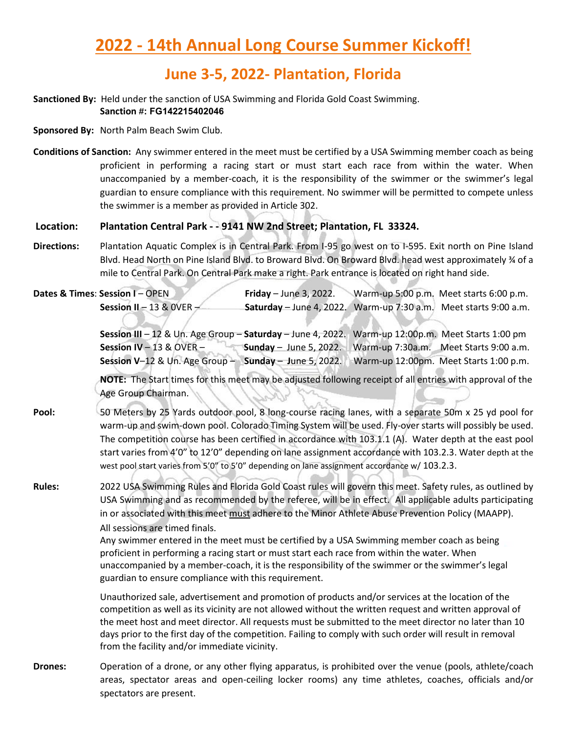#### **June 3-5, 2022- Plantation, Florida**

#### **Sanctioned By:** Held under the sanction of USA Swimming and Florida Gold Coast Swimming. **Sanction #: FG142215402046**

**Sponsored By:** North Palm Beach Swim Club.

**Conditions of Sanction:** Any swimmer entered in the meet must be certified by a USA Swimming member coach as being proficient in performing a racing start or must start each race from within the water. When unaccompanied by a member-coach, it is the responsibility of the swimmer or the swimmer's legal guardian to ensure compliance with this requirement. No swimmer will be permitted to compete unless the swimmer is a member as provided in Article 302.

#### **Location: Plantation Central Park - - 9141 NW 2nd Street; Plantation, FL 33324.**

**Directions:** Plantation Aquatic Complex is in Central Park. From I-95 go west on to I-595. Exit north on Pine Island Blvd. Head North on Pine Island Blvd. to Broward Blvd. On Broward Blvd. head west approximately ¾ of a mile to Central Park. On Central Park make a right. Park entrance is located on right hand side.

**Dates & Times: Session I – OPEN <b>Friday** – June 3, 2022. Warm-up 5:00 p.m. Meet starts 6:00 p.m. **Session II** – 13 & 0VER – **Saturday** – June 4, 2022. Warm-up 7:30 a.m. Meet starts 9:00 a.m.

> **Session III** – 12 & Un. Age Group – **Saturday** – June 4, 2022. Warm-up 12:00p.m. Meet Starts 1:00 pm **Session IV** – 13 & OVER – **Sunday** – June 5, 2022. Warm-up 7:30a.m. Meet Starts 9:00 a.m. **Session V**–12 & Un. Age Group – **Sunday** – **J**une 5, 2022. Warm-up 12:00pm. Meet Starts 1:00 p.m.

> **NOTE:** The Start times for this meet may be adjusted following receipt of all entries with approval of the Age Group Chairman.

**Pool:** 50 Meters by 25 Yards outdoor pool, 8 long-course racing lanes, with a separate 50m x 25 yd pool for warm-up and swim-down pool. Colorado Timing System will be used. Fly-over starts will possibly be used. The competition course has been certified in accordance with 103.1.1 (A). Water depth at the east pool start varies from 4'0" to 12'0" depending on lane assignment accordance with 103.2.3. Water depth at the west pool start varies from 5'0" to 5'0" depending on lane assignment accordance w/ 103.2.3.

**Rules:** 2022 USA Swimming Rules and Florida Gold Coast rules will govern this meet. Safety rules, as outlined by USA Swimming and as recommended by the referee, will be in effect. All applicable adults participating in or associated with this meet must adhere to the Minor Athlete Abuse Prevention Policy (MAAPP). All sessions are timed finals.

> Any swimmer entered in the meet must be certified by a USA Swimming member coach as being proficient in performing a racing start or must start each race from within the water. When unaccompanied by a member-coach, it is the responsibility of the swimmer or the swimmer's legal guardian to ensure compliance with this requirement.

Unauthorized sale, advertisement and promotion of products and/or services at the location of the competition as well as its vicinity are not allowed without the written request and written approval of the meet host and meet director. All requests must be submitted to the meet director no later than 10 days prior to the first day of the competition. Failing to comply with such order will result in removal from the facility and/or immediate vicinity.

**Drones:** Operation of a drone, or any other flying apparatus, is prohibited over the venue (pools, athlete/coach areas, spectator areas and open-ceiling locker rooms) any time athletes, coaches, officials and/or spectators are present.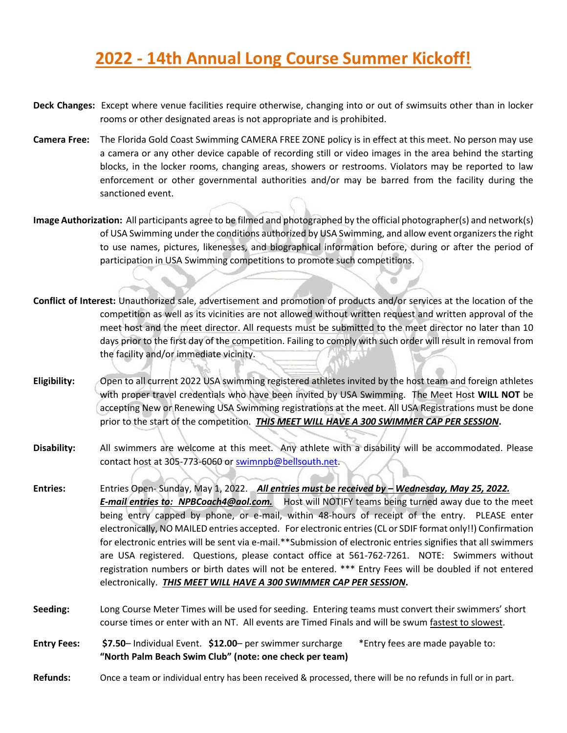# **2022 - 14th Annual Long Course Summer Kickoff!**

- **Deck Changes:** Except where venue facilities require otherwise, changing into or out of swimsuits other than in locker rooms or other designated areas is not appropriate and is prohibited.
- **Camera Free:** The Florida Gold Coast Swimming CAMERA FREE ZONE policy is in effect at this meet. No person may use a camera or any other device capable of recording still or video images in the area behind the starting blocks, in the locker rooms, changing areas, showers or restrooms. Violators may be reported to law enforcement or other governmental authorities and/or may be barred from the facility during the sanctioned event.
- **Image Authorization:** All participants agree to be filmed and photographed by the official photographer(s) and network(s) of USA Swimming under the conditions authorized by USA Swimming, and allow event organizers the right to use names, pictures, likenesses, and biographical information before, during or after the period of participation in USA Swimming competitions to promote such competitions.
- **Conflict of Interest:** Unauthorized sale, advertisement and promotion of products and/or services at the location of the competition as well as its vicinities are not allowed without written request and written approval of the meet host and the meet director. All requests must be submitted to the meet director no later than 10 days prior to the first day of the competition. Failing to comply with such order will result in removal from the facility and/or immediate vicinity.
- **Eligibility:** Open to all current 2022 USA swimming registered athletes invited by the host team and foreign athletes with proper travel credentials who have been invited by USA Swimming. The Meet Host **WILL NOT** be accepting New or Renewing USA Swimming registrations at the meet. All USA Registrations must be done prior to the start of the competition. *THIS MEET WILL HAVE A 300 SWIMMER CAP PER SESSION***.**
- **Disability:** All swimmers are welcome at this meet. Any athlete with a disability will be accommodated. Please contact host at 305-773-6060 or [swimnpb@bellsouth.net.](mailto:swimnpb@bellsouth.net)
- **Entries:** Entries Open- Sunday, May 1, 2022. *All entries must be received by – Wednesday, May 25, 2022. E-mail entries to: NPBCoach4@aol.com.* Host will NOTIFY teams being turned away due to the meet being entry capped by phone, or e-mail, within 48-hours of receipt of the entry. PLEASE enter electronically, NO MAILED entries accepted. For electronic entries (CL or SDIF format only!!) Confirmation for electronic entries will be sent via e-mail.\*\*Submission of electronic entries signifies that all swimmers are USA registered. Questions, please contact office at 561-762-7261. NOTE: Swimmers without registration numbers or birth dates will not be entered. \*\*\* Entry Fees will be doubled if not entered electronically. *THIS MEET WILL HAVE A 300 SWIMMER CAP PER SESSION***.**
- **Seeding:** Long Course Meter Times will be used for seeding. Entering teams must convert their swimmers' short course times or enter with an NT. All events are Timed Finals and will be swum fastest to slowest.
- **Entry Fees: \$7.50** Individual Event. **\$12.00** per swimmer surcharge \*Entry fees are made payable to: **"North Palm Beach Swim Club" (note: one check per team)**
- **Refunds:** Once a team or individual entry has been received & processed, there will be no refunds in full or in part.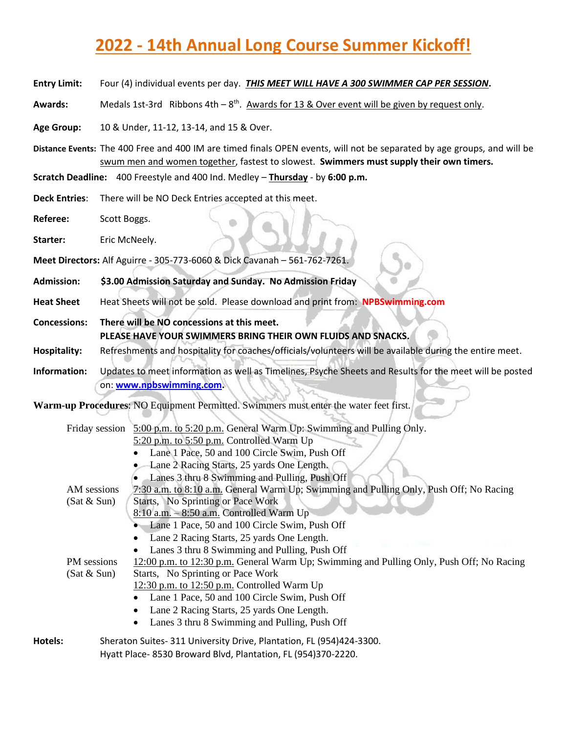# **2022 - 14th Annual Long Course Summer Kickoff!**

|  | <b>Entry Limit:</b> |  | Four (4) individual events per day. <b>THIS MEET WILL HAVE A 300 SWIMMER CAP PER SESSION.</b> |
|--|---------------------|--|-----------------------------------------------------------------------------------------------|
|--|---------------------|--|-----------------------------------------------------------------------------------------------|

Awards: Medals 1st-3rd Ribbons 4th – 8<sup>th</sup>. Awards for 13 & Over event will be given by request only.

**Age Group:** 10 & Under, 11-12, 13-14, and 15 & Over.

**Distance Events:** The 400 Free and 400 IM are timed finals OPEN events, will not be separated by age groups, and will be swum men and women together, fastest to slowest. **Swimmers must supply their own timers.**

**Scratch Deadline:** 400 Freestyle and 400 Ind. Medley – **Thursday** - by **6:00 p.m.**

**Deck Entries**: There will be NO Deck Entries accepted at this meet.

**Referee:** Scott Boggs.

Starter: **Eric McNeely.** 

**Meet Directors:** Alf Aguirre - 305-773-6060 & Dick Cavanah – 561-762-7261.

**Admission: \$3.00 Admission Saturday and Sunday. No Admission Friday** 

**Heat Sheet** Heat Sheets will not be sold. Please download and print from: **NPBSwimming.com**

**Concessions: There will be NO concessions at this meet. PLEASE HAVE YOUR SWIMMERS BRING THEIR OWN FLUIDS AND SNACKS.**

**Hospitality:** Refreshments and hospitality for coaches/officials/volunteers will be available during the entire meet.

**Information:** Updates to meet information as well as Timelines, Psyche Sheets and Results for the meet will be posted on: **[www.npbswimming.com.](http://www.npbswimming.com/)**

**Warm-up Procedures**: NO Equipment Permitted. Swimmers must enter the water feet first.

|         | Friday session | 5:00 p.m. to 5:20 p.m. General Warm Up: Swimming and Pulling Only.                       |
|---------|----------------|------------------------------------------------------------------------------------------|
|         |                | $5:20$ p.m. to $5:50$ p.m. Controlled Warm Up                                            |
|         |                | Lane 1 Pace, 50 and 100 Circle Swim, Push Off                                            |
|         |                | Lane 2 Racing Starts, 25 yards One Length.                                               |
|         |                | Lanes 3 thru 8 Swimming and Pulling, Push Off                                            |
|         | AM sessions    | 7:30 a.m. to 8:10 a.m. General Warm Up; Swimming and Pulling Only, Push Off; No Racing   |
|         | (Sat & Sun)    | Starts, No Sprinting or Pace Work                                                        |
|         |                | $8:10$ a.m. $-8:50$ a.m. Controlled Warm Up                                              |
|         |                | Lane 1 Pace, 50 and 100 Circle Swim, Push Off                                            |
|         |                | Lane 2 Racing Starts, 25 yards One Length.                                               |
|         |                | Lanes 3 thru 8 Swimming and Pulling, Push Off                                            |
|         | PM sessions    | 12:00 p.m. to 12:30 p.m. General Warm Up; Swimming and Pulling Only, Push Off; No Racing |
|         | (Sat & Sun)    | Starts, No Sprinting or Pace Work                                                        |
|         |                | 12:30 p.m. to $12:50$ p.m. Controlled Warm Up                                            |
|         |                | Lane 1 Pace, 50 and 100 Circle Swim, Push Off                                            |
|         |                | Lane 2 Racing Starts, 25 yards One Length.                                               |
|         |                | Lanes 3 thru 8 Swimming and Pulling, Push Off                                            |
| Hotels: |                | Sheraton Suites- 311 University Drive, Plantation, FL (954)424-3300.                     |

Hyatt Place- 8530 Broward Blvd, Plantation, FL (954)370-2220.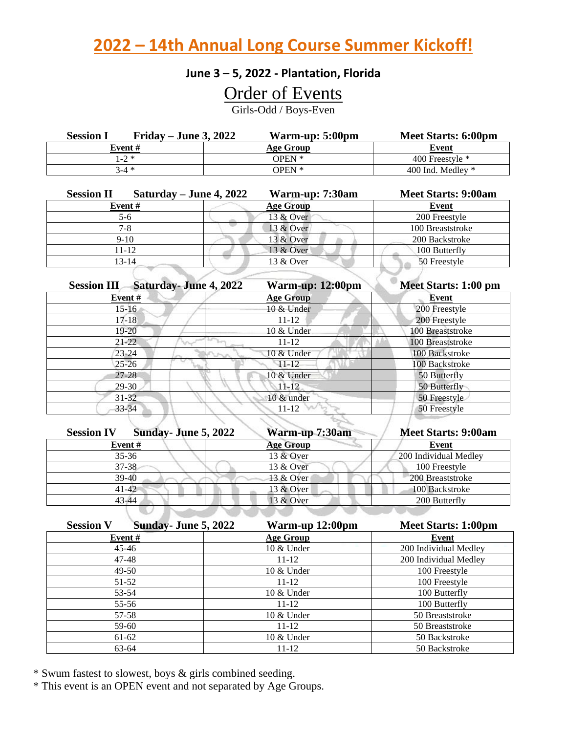**2022 – 14th Annual Long Course Summer Kickoff!**

#### **June 3 – 5, 2022 - Plantation, Florida**

### Order of Events

Girls-Odd / Boys-Even

| Friday – June 3, 2022<br><b>Session</b> I | Warm-up: 5:00pm | Meet Starts: 6:00pm |
|-------------------------------------------|-----------------|---------------------|
| Event #                                   | Age Group       | Event               |
| $1 - 2 *$                                 | OPEN *          | 400 Freestyle $*$   |
| $3 - 4 *$                                 | <b>OPEN *</b>   | 400 Ind. Medley $*$ |

| Saturday – June 4, 2022<br><b>Session II</b> | Warm-up: 7:30am  | <b>Meet Starts: 9:00am</b> |
|----------------------------------------------|------------------|----------------------------|
| Event#                                       | <b>Age Group</b> | Event                      |
| 5-6                                          | 13 & Over        | 200 Freestyle              |
| $7-8$                                        | 13 & Over        | 100 Breaststroke           |
| $9-10$                                       | 13 & Over        | 200 Backstroke             |
| 11-12                                        | 13 & Over        | 100 Butterfly              |
| $13 - 14$                                    | 13 & Over        | 50 Freestyle               |
|                                              |                  |                            |

| <b>Saturday-June 4, 2022</b><br>Warm-up: 12:00pm | Meet Starts: 1:00 pm |
|--------------------------------------------------|----------------------|
| <b>Age Group</b>                                 | Event                |
| 10 & Under                                       | 200 Freestyle        |
| $11 - 12$                                        | 200 Freestyle        |
| 10 & Under                                       | 100 Breaststroke     |
| $11 - 12$                                        | 100 Breaststroke     |
| 10 & Under                                       | 100 Backstroke       |
| $11 - 12$                                        | 100 Backstroke       |
| 10 & Under                                       | 50 Butterfly         |
| $11 - 12$                                        | 50 Butterfly         |
| 10 & under                                       | 50 Freestyle         |
| $11 - 12$                                        | 50 Freestyle         |
|                                                  |                      |

| Sunday-June 5, 2022<br><b>Session IV</b> | Warm-up 7:30am   | <b>Meet Starts: 9:00am</b> |
|------------------------------------------|------------------|----------------------------|
| Event#                                   | <b>Age Group</b> | Event                      |
| $35 - 36$                                | 13 & Over        | 200 Individual Medley      |
| $37 - 38$                                | 13 & Over        | 100 Freestyle              |
| $39-40$                                  | 13 & Over        | 200 Breaststroke           |
| $41 - 42$                                | 13 & Over        | 100 Backstroke             |
| $43 - 44$                                | 13 & Over        | 200 Butterfly              |
|                                          |                  |                            |

| <b>Session V</b><br>Sunday-June 5, 2022 | Warm-up 12:00pm  | <b>Meet Starts: 1:00pm</b> |
|-----------------------------------------|------------------|----------------------------|
| Event #                                 | <b>Age Group</b> | Event                      |
| $45 - 46$                               | 10 & Under       | 200 Individual Medley      |
| $47 - 48$                               | $11 - 12$        | 200 Individual Medley      |
| $49-50$                                 | 10 & Under       | 100 Freestyle              |
| $51-52$                                 | $11 - 12$        | 100 Freestyle              |
| 53-54                                   | $10 \&$ Under    | 100 Butterfly              |
| 55-56                                   | $11 - 12$        | 100 Butterfly              |
| 57-58                                   | 10 & Under       | 50 Breaststroke            |
| 59-60                                   | $11 - 12$        | 50 Breaststroke            |
| 61-62                                   | 10 & Under       | 50 Backstroke              |
| 63-64                                   | $11 - 12$        | 50 Backstroke              |

\* Swum fastest to slowest, boys & girls combined seeding.

\* This event is an OPEN event and not separated by Age Groups.